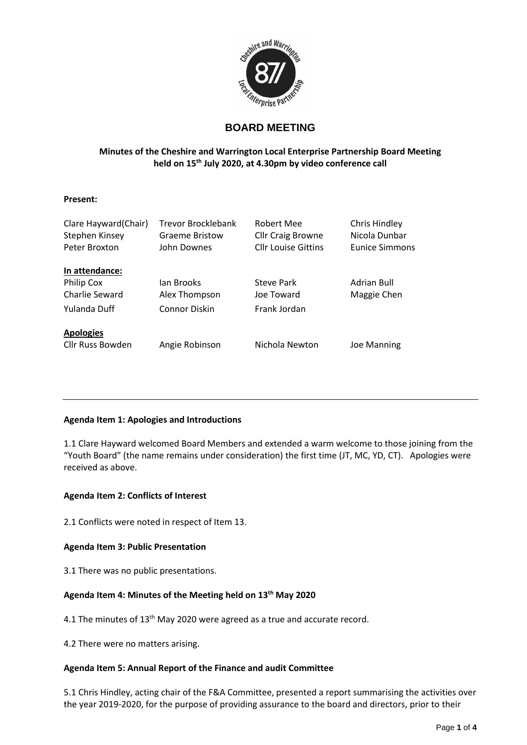

# **BOARD MEETING**

# **Minutes of the Cheshire and Warrington Local Enterprise Partnership Board Meeting held on 15 th July 2020, at 4.30pm by video conference call**

# **Present:**

| Clare Hayward (Chair)<br>Stephen Kinsey<br>Peter Broxton | Trevor Brocklebank<br><b>Graeme Bristow</b><br>John Downes | Robert Mee<br><b>Cllr Craig Browne</b><br><b>Cllr Louise Gittins</b> | Chris Hindley<br>Nicola Dunbar<br><b>Eunice Simmons</b> |
|----------------------------------------------------------|------------------------------------------------------------|----------------------------------------------------------------------|---------------------------------------------------------|
| In attendance:                                           |                                                            |                                                                      |                                                         |
| Philip Cox                                               | Jan Brooks                                                 | Steve Park                                                           | Adrian Bull                                             |
| Charlie Seward                                           | Alex Thompson                                              | Joe Toward                                                           | Maggie Chen                                             |
| Yulanda Duff                                             | <b>Connor Diskin</b>                                       | Frank Jordan                                                         |                                                         |
| <b>Apologies</b>                                         |                                                            |                                                                      |                                                         |
| Cllr Russ Bowden                                         | Angie Robinson                                             | Nichola Newton                                                       | Joe Manning                                             |

# **Agenda Item 1: Apologies and Introductions**

1.1 Clare Hayward welcomed Board Members and extended a warm welcome to those joining from the "Youth Board" (the name remains under consideration) the first time (JT, MC, YD, CT). Apologies were received as above.

# **Agenda Item 2: Conflicts of Interest**

2.1 Conflicts were noted in respect of Item 13.

# **Agenda Item 3: Public Presentation**

3.1 There was no public presentations.

# **Agenda Item 4: Minutes of the Meeting held on 13 th May 2020**

4.1 The minutes of 13<sup>th</sup> May 2020 were agreed as a true and accurate record.

4.2 There were no matters arising.

# **Agenda Item 5: Annual Report of the Finance and audit Committee**

5.1 Chris Hindley, acting chair of the F&A Committee, presented a report summarising the activities over the year 2019-2020, for the purpose of providing assurance to the board and directors, prior to their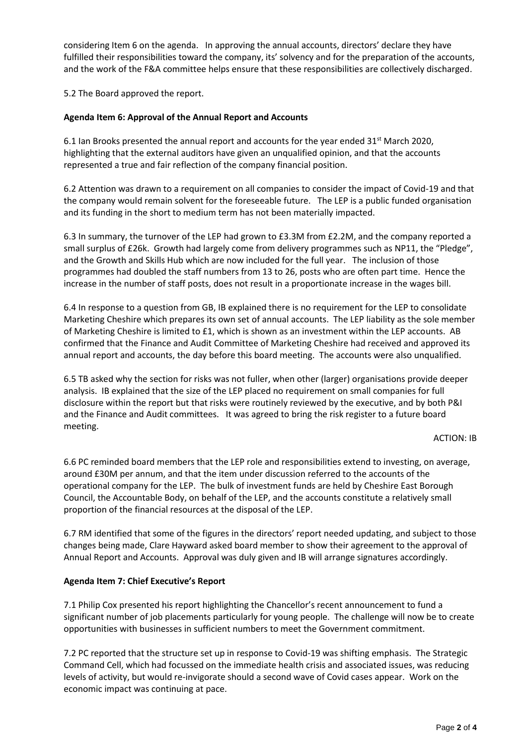considering Item 6 on the agenda. In approving the annual accounts, directors' declare they have fulfilled their responsibilities toward the company, its' solvency and for the preparation of the accounts, and the work of the F&A committee helps ensure that these responsibilities are collectively discharged.

5.2 The Board approved the report.

# **Agenda Item 6: Approval of the Annual Report and Accounts**

6.1 Ian Brooks presented the annual report and accounts for the year ended  $31<sup>st</sup>$  March 2020, highlighting that the external auditors have given an unqualified opinion, and that the accounts represented a true and fair reflection of the company financial position.

6.2 Attention was drawn to a requirement on all companies to consider the impact of Covid-19 and that the company would remain solvent for the foreseeable future. The LEP is a public funded organisation and its funding in the short to medium term has not been materially impacted.

6.3 In summary, the turnover of the LEP had grown to £3.3M from £2.2M, and the company reported a small surplus of £26k. Growth had largely come from delivery programmes such as NP11, the "Pledge", and the Growth and Skills Hub which are now included for the full year. The inclusion of those programmes had doubled the staff numbers from 13 to 26, posts who are often part time. Hence the increase in the number of staff posts, does not result in a proportionate increase in the wages bill.

6.4 In response to a question from GB, IB explained there is no requirement for the LEP to consolidate Marketing Cheshire which prepares its own set of annual accounts. The LEP liability as the sole member of Marketing Cheshire is limited to £1, which is shown as an investment within the LEP accounts. AB confirmed that the Finance and Audit Committee of Marketing Cheshire had received and approved its annual report and accounts, the day before this board meeting. The accounts were also unqualified.

6.5 TB asked why the section for risks was not fuller, when other (larger) organisations provide deeper analysis. IB explained that the size of the LEP placed no requirement on small companies for full disclosure within the report but that risks were routinely reviewed by the executive, and by both P&I and the Finance and Audit committees. It was agreed to bring the risk register to a future board meeting.

#### ACTION: IB

6.6 PC reminded board members that the LEP role and responsibilities extend to investing, on average, around £30M per annum, and that the item under discussion referred to the accounts of the operational company for the LEP. The bulk of investment funds are held by Cheshire East Borough Council, the Accountable Body, on behalf of the LEP, and the accounts constitute a relatively small proportion of the financial resources at the disposal of the LEP.

6.7 RM identified that some of the figures in the directors' report needed updating, and subject to those changes being made, Clare Hayward asked board member to show their agreement to the approval of Annual Report and Accounts. Approval was duly given and IB will arrange signatures accordingly.

# **Agenda Item 7: Chief Executive's Report**

7.1 Philip Cox presented his report highlighting the Chancellor's recent announcement to fund a significant number of job placements particularly for young people. The challenge will now be to create opportunities with businesses in sufficient numbers to meet the Government commitment.

7.2 PC reported that the structure set up in response to Covid-19 was shifting emphasis. The Strategic Command Cell, which had focussed on the immediate health crisis and associated issues, was reducing levels of activity, but would re-invigorate should a second wave of Covid cases appear. Work on the economic impact was continuing at pace.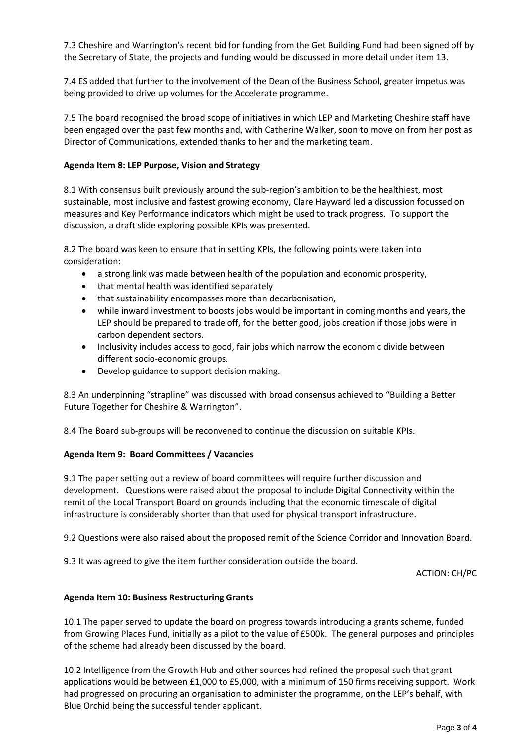7.3 Cheshire and Warrington's recent bid for funding from the Get Building Fund had been signed off by the Secretary of State, the projects and funding would be discussed in more detail under item 13.

7.4 ES added that further to the involvement of the Dean of the Business School, greater impetus was being provided to drive up volumes for the Accelerate programme.

7.5 The board recognised the broad scope of initiatives in which LEP and Marketing Cheshire staff have been engaged over the past few months and, with Catherine Walker, soon to move on from her post as Director of Communications, extended thanks to her and the marketing team.

# **Agenda Item 8: LEP Purpose, Vision and Strategy**

8.1 With consensus built previously around the sub-region's ambition to be the healthiest, most sustainable, most inclusive and fastest growing economy, Clare Hayward led a discussion focussed on measures and Key Performance indicators which might be used to track progress. To support the discussion, a draft slide exploring possible KPIs was presented.

8.2 The board was keen to ensure that in setting KPIs, the following points were taken into consideration:

- a strong link was made between health of the population and economic prosperity,
- that mental health was identified separately
- that sustainability encompasses more than decarbonisation,
- while inward investment to boosts jobs would be important in coming months and years, the LEP should be prepared to trade off, for the better good, jobs creation if those jobs were in carbon dependent sectors.
- Inclusivity includes access to good, fair jobs which narrow the economic divide between different socio-economic groups.
- Develop guidance to support decision making.

8.3 An underpinning "strapline" was discussed with broad consensus achieved to "Building a Better Future Together for Cheshire & Warrington".

8.4 The Board sub-groups will be reconvened to continue the discussion on suitable KPIs.

# **Agenda Item 9: Board Committees / Vacancies**

9.1 The paper setting out a review of board committees will require further discussion and development. Questions were raised about the proposal to include Digital Connectivity within the remit of the Local Transport Board on grounds including that the economic timescale of digital infrastructure is considerably shorter than that used for physical transport infrastructure.

9.2 Questions were also raised about the proposed remit of the Science Corridor and Innovation Board.

9.3 It was agreed to give the item further consideration outside the board.

ACTION: CH/PC

# **Agenda Item 10: Business Restructuring Grants**

10.1 The paper served to update the board on progress towards introducing a grants scheme, funded from Growing Places Fund, initially as a pilot to the value of £500k. The general purposes and principles of the scheme had already been discussed by the board.

10.2 Intelligence from the Growth Hub and other sources had refined the proposal such that grant applications would be between £1,000 to £5,000, with a minimum of 150 firms receiving support. Work had progressed on procuring an organisation to administer the programme, on the LEP's behalf, with Blue Orchid being the successful tender applicant.